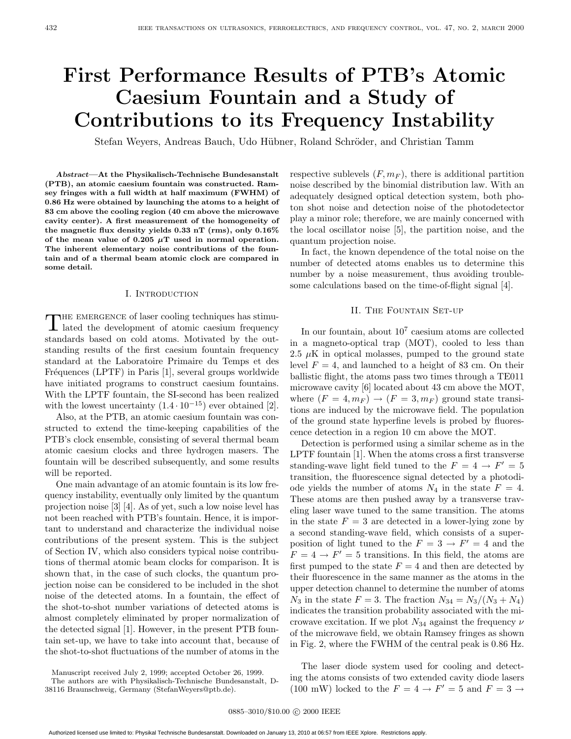# **First Performance Results of PTB's Atomic Caesium Fountain and a Study of Contributions to its Frequency Instability**

Stefan Weyers, Andreas Bauch, Udo Hübner, Roland Schröder, and Christian Tamm

*Abstract***—At the Physikalisch-Technische Bundesanstalt (PTB), an atomic caesium fountain was constructed. Ramsey fringes with a full width at half maximum (FWHM) of 0.86 Hz were obtained by launching the atoms to a height of 83 cm above the cooling region (40 cm above the microwave cavity center). A first measurement of the homogeneity of the magnetic flux density yields 0.33 nT (rms), only 0.16%** of the mean value of  $0.205 \mu T$  used in normal operation. **The inherent elementary noise contributions of the fountain and of a thermal beam atomic clock are compared in some detail.**

# I. Introduction

 $\begin{minipage}{.4\linewidth} \textbf{THE EMERGENCE of laser cooling techniques has stimulated the development of atomic case} \textbf{sum frequency} \end{minipage}$ standards based on cold atoms. Motivated by the outstanding results of the first caesium fountain frequency standard at the Laboratoire Primaire du Temps et des Fréquences (LPTF) in Paris [1], several groups worldwide have initiated programs to construct caesium fountains. With the LPTF fountain, the SI-second has been realized with the lowest uncertainty  $(1.4 \cdot 10^{-15})$  ever obtained [2].

Also, at the PTB, an atomic caesium fountain was constructed to extend the time-keeping capabilities of the PTB's clock ensemble, consisting of several thermal beam atomic caesium clocks and three hydrogen masers. The fountain will be described subsequently, and some results will be reported.

One main advantage of an atomic fountain is its low frequency instability, eventually only limited by the quantum projection noise [3] [4]. As of yet, such a low noise level has not been reached with PTB's fountain. Hence, it is important to understand and characterize the individual noise contributions of the present system. This is the subject of Section IV, which also considers typical noise contributions of thermal atomic beam clocks for comparison. It is shown that, in the case of such clocks, the quantum projection noise can be considered to be included in the shot noise of the detected atoms. In a fountain, the effect of the shot-to-shot number variations of detected atoms is almost completely eliminated by proper normalization of the detected signal [1]. However, in the present PTB fountain set-up, we have to take into account that, because of the shot-to-shot fluctuations of the number of atoms in the

respective sublevels  $(F, m_F)$ , there is additional partition noise described by the binomial distribution law. With an adequately designed optical detection system, both photon shot noise and detection noise of the photodetector play a minor role; therefore, we are mainly concerned with the local oscillator noise [5], the partition noise, and the quantum projection noise.

In fact, the known dependence of the total noise on the number of detected atoms enables us to determine this number by a noise measurement, thus avoiding troublesome calculations based on the time-of-flight signal [4].

# II. The Fountain Set-up

In our fountain, about  $10^7$  caesium atoms are collected in a magneto-optical trap (MOT), cooled to less than 2.5  $\mu$ K in optical molasses, pumped to the ground state level  $F = 4$ , and launched to a height of 83 cm. On their ballistic flight, the atoms pass two times through a TE011 microwave cavity [6] located about 43 cm above the MOT, where  $(F = 4, m_F) \rightarrow (F = 3, m_F)$  ground state transitions are induced by the microwave field. The population of the ground state hyperfine levels is probed by fluorescence detection in a region 10 cm above the MOT.

Detection is performed using a similar scheme as in the LPTF fountain [1]. When the atoms cross a first transverse standing-wave light field tuned to the  $F = 4 \rightarrow F' = 5$ transition, the fluorescence signal detected by a photodiode yields the number of atoms  $N_4$  in the state  $F = 4$ . These atoms are then pushed away by a transverse traveling laser wave tuned to the same transition. The atoms in the state  $F = 3$  are detected in a lower-lying zone by a second standing-wave field, which consists of a superposition of light tuned to the  $F = 3 \rightarrow F' = 4$  and the  $F = 4 \rightarrow F' = 5$  transitions. In this field, the atoms are first pumped to the state  $F = 4$  and then are detected by their fluorescence in the same manner as the atoms in the upper detection channel to determine the number of atoms  $N_3$  in the state  $F = 3$ . The fraction  $N_{34} = N_3/(N_3 + N_4)$ indicates the transition probability associated with the microwave excitation. If we plot  $N_{34}$  against the frequency  $\nu$ of the microwave field, we obtain Ramsey fringes as shown in Fig. 2, where the FWHM of the central peak is 0.86 Hz.

The laser diode system used for cooling and detecting the atoms consists of two extended cavity diode lasers (100 mW) locked to the  $F = 4 \rightarrow F' = 5$  and  $F = 3 \rightarrow$ 

Manuscript received July 2, 1999; accepted October 26, 1999.

The authors are with Physikalisch-Technische Bundesanstalt, D-38116 Braunschweig, Germany (StefanWeyers@ptb.de).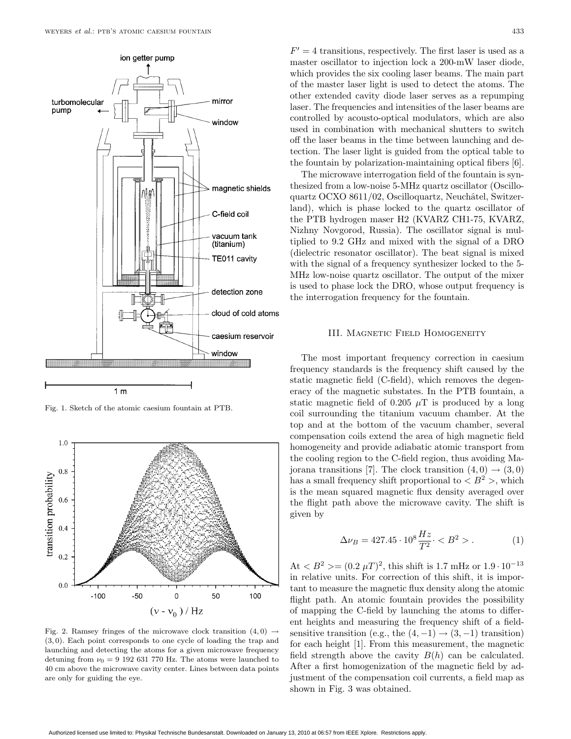

Fig. 1. Sketch of the atomic caesium fountain at PTB.



Fig. 2. Ramsey fringes of the microwave clock transition  $(4,0) \rightarrow$ (3, 0). Each point corresponds to one cycle of loading the trap and launching and detecting the atoms for a given microwave frequency detuning from  $\nu_0 = 9$  192 631 770 Hz. The atoms were launched to 40 cm above the microwave cavity center. Lines between data points are only for guiding the eye.

 $F' = 4$  transitions, respectively. The first laser is used as a master oscillator to injection lock a 200-mW laser diode, which provides the six cooling laser beams. The main part of the master laser light is used to detect the atoms. The other extended cavity diode laser serves as a repumping laser. The frequencies and intensities of the laser beams are controlled by acousto-optical modulators, which are also used in combination with mechanical shutters to switch off the laser beams in the time between launching and detection. The laser light is guided from the optical table to the fountain by polarization-maintaining optical fibers [6].

The microwave interrogation field of the fountain is synthesized from a low-noise 5-MHz quartz oscillator (Oscilloquartz OCXO 8611/02, Oscilloquartz, Neuchâtel, Switzerland), which is phase locked to the quartz oscillator of the PTB hydrogen maser H2 (KVARZ CH1-75, KVARZ, Nizhny Novgorod, Russia). The oscillator signal is multiplied to 9.2 GHz and mixed with the signal of a DRO (dielectric resonator oscillator). The beat signal is mixed with the signal of a frequency synthesizer locked to the 5- MHz low-noise quartz oscillator. The output of the mixer is used to phase lock the DRO, whose output frequency is the interrogation frequency for the fountain.

### III. MAGNETIC FIELD HOMOGENEITY

The most important frequency correction in caesium frequency standards is the frequency shift caused by the static magnetic field (C-field), which removes the degeneracy of the magnetic substates. In the PTB fountain, a static magnetic field of 0.205  $\mu$ T is produced by a long coil surrounding the titanium vacuum chamber. At the top and at the bottom of the vacuum chamber, several compensation coils extend the area of high magnetic field homogeneity and provide adiabatic atomic transport from the cooling region to the C-field region, thus avoiding Majorana transitions [7]. The clock transition  $(4,0) \rightarrow (3,0)$ has a small frequency shift proportional to  $\langle B^2 \rangle$ , which is the mean squared magnetic flux density averaged over the flight path above the microwave cavity. The shift is given by

$$
\Delta \nu_B = 427.45 \cdot 10^8 \frac{Hz}{T^2} < B^2 > . \tag{1}
$$

At  $\langle B^2 \rangle = (0.2 \mu T)^2$ , this shift is 1.7 mHz or  $1.9 \cdot 10^{-13}$ in relative units. For correction of this shift, it is important to measure the magnetic flux density along the atomic flight path. An atomic fountain provides the possibility of mapping the C-field by launching the atoms to different heights and measuring the frequency shift of a fieldsensitive transition (e.g., the  $(4, -1) \rightarrow (3, -1)$  transition) for each height [1]. From this measurement, the magnetic field strength above the cavity  $B(h)$  can be calculated. After a first homogenization of the magnetic field by adjustment of the compensation coil currents, a field map as shown in Fig. 3 was obtained.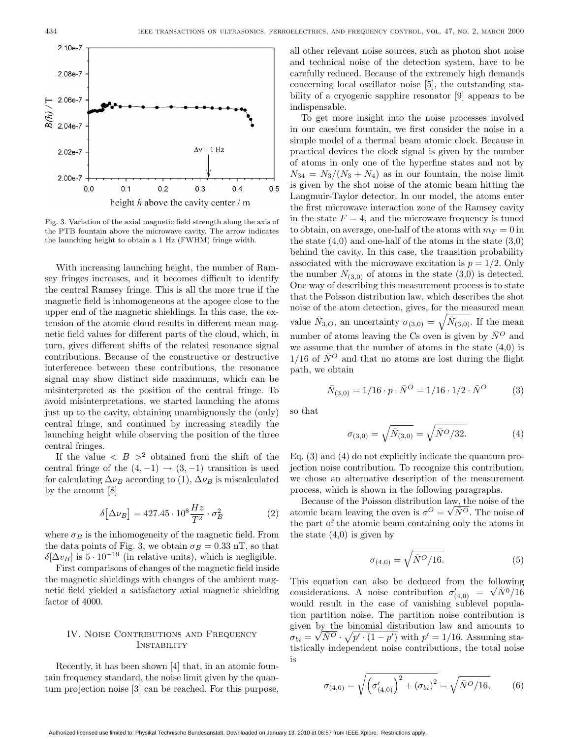

Fig. 3. Variation of the axial magnetic field strength along the axis of the PTB fountain above the microwave cavity. The arrow indicates the launching height to obtain a 1 Hz (FWHM) fringe width.

With increasing launching height, the number of Ramsey fringes increases, and it becomes difficult to identify the central Ramsey fringe. This is all the more true if the magnetic field is inhomogeneous at the apogee close to the upper end of the magnetic shieldings. In this case, the extension of the atomic cloud results in different mean magnetic field values for different parts of the cloud, which, in turn, gives different shifts of the related resonance signal contributions. Because of the constructive or destructive interference between these contributions, the resonance signal may show distinct side maximums, which can be misinterpreted as the position of the central fringe. To avoid misinterpretations, we started launching the atoms just up to the cavity, obtaining unambiguously the (only) central fringe, and continued by increasing steadily the launching height while observing the position of the three central fringes.

If the value  $\langle B \rangle^2$  obtained from the shift of the central fringe of the  $(4, -1) \rightarrow (3, -1)$  transition is used for calculating  $\Delta \nu_B$  according to (1),  $\Delta \nu_B$  is miscalculated by the amount [8]

$$
\delta[\Delta \nu_B] = 427.45 \cdot 10^8 \frac{Hz}{T^2} \cdot \sigma_B^2 \tag{2}
$$

where  $\sigma_B$  is the inhomogeneity of the magnetic field. From the data points of Fig. 3, we obtain  $\sigma_B = 0.33$  nT, so that δ[ $\Delta v_B$ ] is 5 · 10<sup>-19</sup> (in relative units), which is negligible.

First comparisons of changes of the magnetic field inside the magnetic shieldings with changes of the ambient magnetic field yielded a satisfactory axial magnetic shielding factor of 4000.

# IV. Noise Contributions and Frequency **INSTABILITY**

Recently, it has been shown [4] that, in an atomic fountain frequency standard, the noise limit given by the quantum projection noise [3] can be reached. For this purpose,

all other relevant noise sources, such as photon shot noise and technical noise of the detection system, have to be carefully reduced. Because of the extremely high demands concerning local oscillator noise [5], the outstanding stability of a cryogenic sapphire resonator [9] appears to be indispensable.

To get more insight into the noise processes involved in our caesium fountain, we first consider the noise in a simple model of a thermal beam atomic clock. Because in practical devices the clock signal is given by the number of atoms in only one of the hyperfine states and not by  $N_{34} = N_3/(N_3 + N_4)$  as in our fountain, the noise limit is given by the shot noise of the atomic beam hitting the Langmuir-Taylor detector. In our model, the atoms enter the first microwave interaction zone of the Ramsey cavity in the state  $F = 4$ , and the microwave frequency is tuned to obtain, on average, one-half of the atoms with  $m_F = 0$  in the state  $(4,0)$  and one-half of the atoms in the state  $(3,0)$ behind the cavity. In this case, the transition probability associated with the microwave excitation is  $p = 1/2$ . Only the number  $N_{(3,0)}$  of atoms in the state  $(3,0)$  is detected. One way of describing this measurement process is to state that the Poisson distribution law, which describes the shot noise of the atom detection, gives, for the measured mean value  $\bar{N}_{3,O}$ , an uncertainty  $\sigma_{(3,0)} = \sqrt{\bar{N}_{(3,0)}}$ . If the mean number of atoms leaving the Cs oven is given by  $\bar{N}^O$  and we assume that the number of atoms in the state  $(4,0)$  is  $1/16$  of  $\bar{N}^O$  and that no atoms are lost during the flight path, we obtain

$$
\bar{N}_{(3,0)} = 1/16 \cdot p \cdot \bar{N}^O = 1/16 \cdot 1/2 \cdot \bar{N}^O \tag{3}
$$

so that

$$
\sigma_{(3,0)} = \sqrt{\bar{N}_{(3,0)}} = \sqrt{\bar{N}^O/32}.
$$
 (4)

Eq. (3) and (4) do not explicitly indicate the quantum projection noise contribution. To recognize this contribution, we chose an alternative description of the measurement process, which is shown in the following paragraphs.

Because of the Poisson distribution law, the noise of the Because of the Poisson distribution law, the noise of the atomic beam leaving the oven is  $\sigma^O = \sqrt{N^O}$ . The noise of the part of the atomic beam containing only the atoms in the state  $(4,0)$  is given by

$$
\sigma_{(4,0)} = \sqrt{\bar{N}^O/16}.
$$
 (5)

This equation can also be deduced from the following This equation can also be deduced from the following<br>considerations. A noise contribution  $\sigma'_{(4,0)} = \sqrt{N^0}/16$ would result in the case of vanishing sublevel population partition noise. The partition noise contribution is given by the binomial distribution law and amounts to given by the binomial distribution law and amounts to  $\sigma_{bi} = \sqrt{N^O} \cdot \sqrt{p' \cdot (1-p')}$  with  $p' = 1/16$ . Assuming statistically independent noise contributions, the total noise is

$$
\sigma_{(4,0)} = \sqrt{\left(\sigma'_{(4,0)}\right)^2 + \left(\sigma_{bi}\right)^2} = \sqrt{\bar{N}^O/16},\tag{6}
$$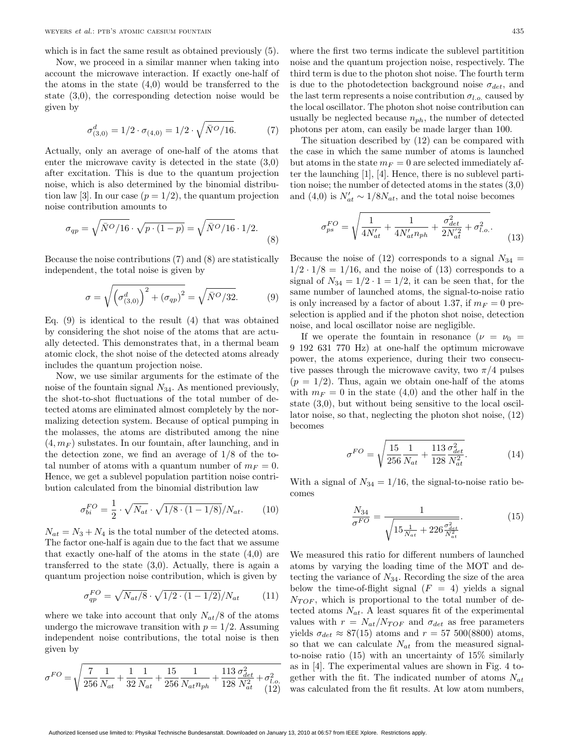which is in fact the same result as obtained previously (5).

Now, we proceed in a similar manner when taking into account the microwave interaction. If exactly one-half of the atoms in the state (4,0) would be transferred to the state (3,0), the corresponding detection noise would be given by

$$
\sigma_{(3,0)}^d = 1/2 \cdot \sigma_{(4,0)} = 1/2 \cdot \sqrt{\bar{N}^O/16}.\tag{7}
$$

Actually, only an average of one-half of the atoms that enter the microwave cavity is detected in the state (3,0) after excitation. This is due to the quantum projection noise, which is also determined by the binomial distribution law [3]. In our case  $(p = 1/2)$ , the quantum projection noise contribution amounts to

$$
\sigma_{qp} = \sqrt{\bar{N}^O/16} \cdot \sqrt{p \cdot (1-p)} = \sqrt{\bar{N}^O/16} \cdot 1/2. \tag{8}
$$

Because the noise contributions (7) and (8) are statistically independent, the total noise is given by

$$
\sigma = \sqrt{\left(\sigma_{(3,0)}^d\right)^2 + \left(\sigma_{qp}\right)^2} = \sqrt{\bar{N}^O/32}.
$$
 (9)

Eq.  $(9)$  is identical to the result  $(4)$  that was obtained by considering the shot noise of the atoms that are actually detected. This demonstrates that, in a thermal beam atomic clock, the shot noise of the detected atoms already includes the quantum projection noise.

Now, we use similar arguments for the estimate of the noise of the fountain signal  $N_{34}$ . As mentioned previously, the shot-to-shot fluctuations of the total number of detected atoms are eliminated almost completely by the normalizing detection system. Because of optical pumping in the molasses, the atoms are distributed among the nine  $(4, m_F)$  substates. In our fountain, after launching, and in the detection zone, we find an average of 1/8 of the total number of atoms with a quantum number of  $m_F = 0$ . Hence, we get a sublevel population partition noise contribution calculated from the binomial distribution law

$$
\sigma_{bi}^{FO} = \frac{1}{2} \cdot \sqrt{N_{at}} \cdot \sqrt{1/8 \cdot (1 - 1/8)}/N_{at}.
$$
 (10)

 $N_{at} = N_3 + N_4$  is the total number of the detected atoms. The factor one-half is again due to the fact that we assume that exactly one-half of the atoms in the state (4,0) are transferred to the state  $(3,0)$ . Actually, there is again a quantum projection noise contribution, which is given by

$$
\sigma_{qp}^{FO} = \sqrt{N_{at}/8} \cdot \sqrt{1/2 \cdot (1 - 1/2)}/N_{at} \tag{11}
$$

where we take into account that only  $N_{at}/8$  of the atoms undergo the microwave transition with  $p = 1/2$ . Assuming independent noise contributions, the total noise is then given by

$$
\sigma^{FO} = \sqrt{\frac{7}{256} \frac{1}{N_{at}} + \frac{1}{32} \frac{1}{N_{at}} + \frac{15}{256} \frac{1}{N_{at}n_{ph}} + \frac{113}{128} \frac{\sigma_{det}^2}{N_{at}^2} + \sigma_{l.o.}^2}
$$
(12)

where the first two terms indicate the sublevel partitition noise and the quantum projection noise, respectively. The third term is due to the photon shot noise. The fourth term

is due to the photodetection background noise  $\sigma_{det}$ , and the last term represents a noise contribution  $\sigma_{l.o.}$  caused by the local oscillator. The photon shot noise contribution can usually be neglected because  $n_{ph}$ , the number of detected photons per atom, can easily be made larger than 100.

The situation described by (12) can be compared with the case in which the same number of atoms is launched but atoms in the state  $m_F = 0$  are selected immediately after the launching [1], [4]. Hence, there is no sublevel partition noise; the number of detected atoms in the states (3,0) and (4,0) is  $N'_{at} \sim 1/8N_{at}$ , and the total noise becomes

$$
\sigma_{ps}^{FO} = \sqrt{\frac{1}{4N'_{at}} + \frac{1}{4N'_{at}n_{ph}} + \frac{\sigma_{det}^2}{2N'^2_{at}} + \sigma_{l.o.}^2}.
$$
\n(13)

Because the noise of (12) corresponds to a signal  $N_{34} =$  $1/2 \cdot 1/8 = 1/16$ , and the noise of (13) corresponds to a signal of  $N_{34} = 1/2 \cdot 1 = 1/2$ , it can be seen that, for the same number of launched atoms, the signal-to-noise ratio is only increased by a factor of about 1.37, if  $m_F = 0$  preselection is applied and if the photon shot noise, detection noise, and local oscillator noise are negligible.

If we operate the fountain in resonance  $(\nu = \nu_0$  = 9 192 631 770 Hz) at one-half the optimum microwave power, the atoms experience, during their two consecutive passes through the microwave cavity, two  $\pi/4$  pulses  $(p = 1/2)$ . Thus, again we obtain one-half of the atoms with  $m_F = 0$  in the state (4,0) and the other half in the state (3,0), but without being sensitive to the local oscillator noise, so that, neglecting the photon shot noise, (12) becomes

$$
\sigma^{FO} = \sqrt{\frac{15}{256} \frac{1}{N_{at}} + \frac{113}{128} \frac{\sigma_{det}^2}{N_{at}^2}}.
$$
(14)

With a signal of  $N_{34} = 1/16$ , the signal-to-noise ratio becomes

$$
\frac{N_{34}}{\sigma^{FO}} = \frac{1}{\sqrt{15 \frac{1}{N_{at}} + 226 \frac{\sigma_{det}^2}{N_{at}^2}}}.
$$
(15)

We measured this ratio for different numbers of launched atoms by varying the loading time of the MOT and detecting the variance of  $N_{34}$ . Recording the size of the area below the time-of-flight signal  $(F = 4)$  yields a signal  $N_{TOF}$ , which is proportional to the total number of detected atoms  $N_{at}$ . A least squares fit of the experimental values with  $r = N_{at}/N_{TOF}$  and  $\sigma_{det}$  as free parameters yields  $\sigma_{det} \approx 87(15)$  atoms and  $r = 57,500(8800)$  atoms, so that we can calculate  $N_{at}$  from the measured signalto-noise ratio (15) with an uncertainty of 15% similarly as in [4]. The experimental values are shown in Fig. 4 together with the fit. The indicated number of atoms  $N_{at}$ was calculated from the fit results. At low atom numbers,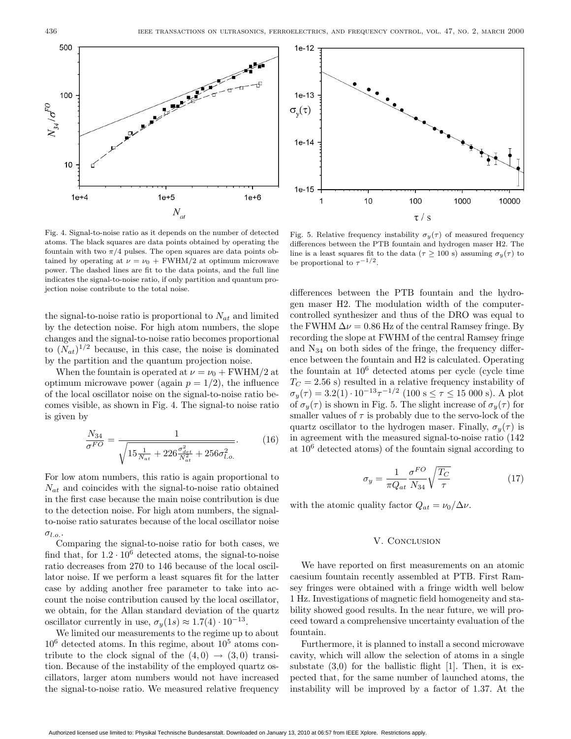

Fig. 4. Signal-to-noise ratio as it depends on the number of detected atoms. The black squares are data points obtained by operating the fountain with two  $\pi/4$  pulses. The open squares are data points obtained by operating at  $\nu = \nu_0 + \text{FWHM}/2$  at optimum microwave power. The dashed lines are fit to the data points, and the full line indicates the signal-to-noise ratio, if only partition and quantum projection noise contribute to the total noise.

the signal-to-noise ratio is proportional to  $N_{at}$  and limited by the detection noise. For high atom numbers, the slope changes and the signal-to-noise ratio becomes proportional to  $(N_{at})^{1/2}$  because, in this case, the noise is dominated by the partition and the quantum projection noise.

When the fountain is operated at  $\nu = \nu_0 + \text{FWHM}/2$  at optimum microwave power (again  $p = 1/2$ ), the influence of the local oscillator noise on the signal-to-noise ratio becomes visible, as shown in Fig. 4. The signal-to noise ratio is given by

$$
\frac{N_{34}}{\sigma^{FO}} = \frac{1}{\sqrt{15 \frac{1}{N_{at}} + 226 \frac{\sigma_{det}^2}{N_{at}^2} + 256 \sigma_{l.o.}^2}}.
$$
(16)

For low atom numbers, this ratio is again proportional to  $N_{at}$  and coincides with the signal-to-noise ratio obtained in the first case because the main noise contribution is due to the detection noise. For high atom numbers, the signalto-noise ratio saturates because of the local oscillator noise  $\sigma_{l.o.}.$ 

Comparing the signal-to-noise ratio for both cases, we find that, for  $1.2 \cdot 10^6$  detected atoms, the signal-to-noise ratio decreases from 270 to 146 because of the local oscillator noise. If we perform a least squares fit for the latter case by adding another free parameter to take into account the noise contribution caused by the local oscillator, we obtain, for the Allan standard deviation of the quartz oscillator currently in use,  $\sigma_y(1s) \approx 1.7(4) \cdot 10^{-13}$ .

We limited our measurements to the regime up to about  $10^6$  detected atoms. In this regime, about  $10^5$  atoms contribute to the clock signal of the  $(4, 0) \rightarrow (3, 0)$  transition. Because of the instability of the employed quartz oscillators, larger atom numbers would not have increased the signal-to-noise ratio. We measured relative frequency



Fig. 5. Relative frequency instability  $\sigma_y(\tau)$  of measured frequency differences between the PTB fountain and hydrogen maser H2. The line is a least squares fit to the data ( $\tau \geq 100$  s) assuming  $\sigma_y(\tau)$  to be proportional to  $\tau^{-1/2}$ .

differences between the PTB fountain and the hydrogen maser H2. The modulation width of the computercontrolled synthesizer and thus of the DRO was equal to the FWHM  $\Delta \nu = 0.86$  Hz of the central Ramsey fringe. By recording the slope at FWHM of the central Ramsey fringe and N<sup>34</sup> on both sides of the fringe, the frequency difference between the fountain and H2 is calculated. Operating the fountain at  $10^6$  detected atoms per cycle (cycle time  $T<sub>C</sub> = 2.56$  s) resulted in a relative frequency instability of  $\sigma_y(\tau) = 3.2(1) \cdot 10^{-13} \tau^{-1/2}$  (100 s  $\leq \tau \leq 15$  000 s). A plot of  $\sigma_y(\tau)$  is shown in Fig. 5. The slight increase of  $\sigma_y(\tau)$  for smaller values of  $\tau$  is probably due to the servo-lock of the quartz oscillator to the hydrogen maser. Finally,  $\sigma_y(\tau)$  is in agreement with the measured signal-to-noise ratio (142 at 10<sup>6</sup> detected atoms) of the fountain signal according to

$$
\sigma_y = \frac{1}{\pi Q_{at}} \frac{\sigma^{FO}}{N_{34}} \sqrt{\frac{T_C}{\tau}}
$$
(17)

with the atomic quality factor  $Q_{at} = \nu_0/\Delta \nu$ .

#### V. CONCLUSION

We have reported on first measurements on an atomic caesium fountain recently assembled at PTB. First Ramsey fringes were obtained with a fringe width well below 1 Hz. Investigations of magnetic field homogeneity and stability showed good results. In the near future, we will proceed toward a comprehensive uncertainty evaluation of the fountain.

Furthermore, it is planned to install a second microwave cavity, which will allow the selection of atoms in a single substate  $(3,0)$  for the ballistic flight [1]. Then, it is expected that, for the same number of launched atoms, the instability will be improved by a factor of 1.37. At the